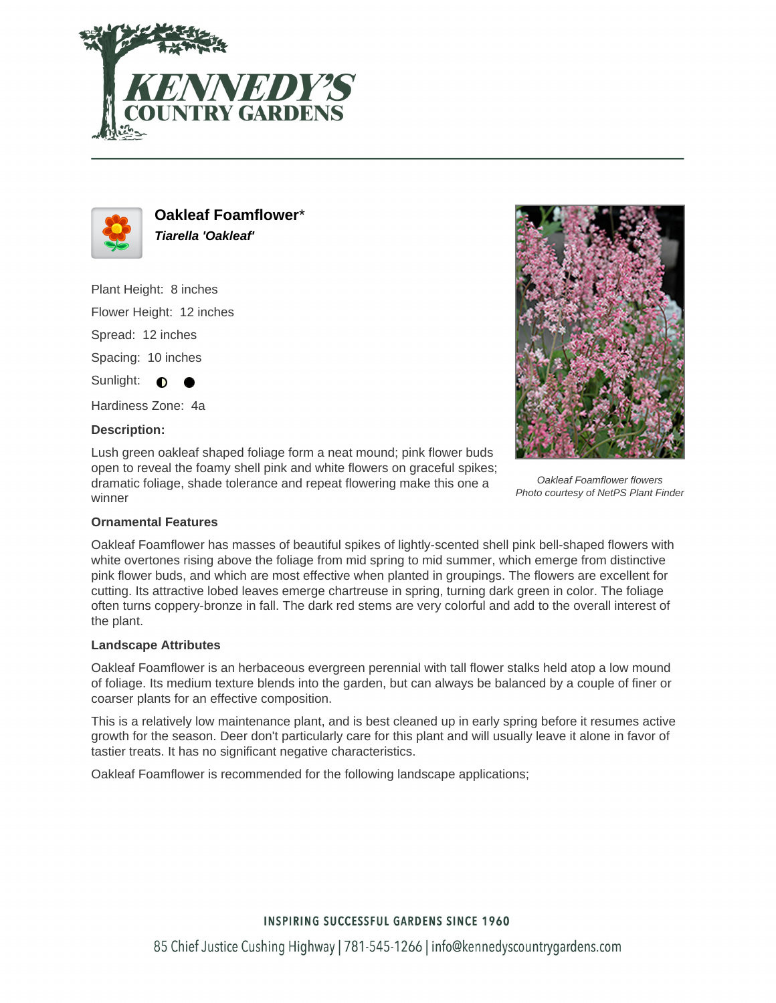



**Oakleaf Foamflower**\* **Tiarella 'Oakleaf'**

Plant Height: 8 inches Flower Height: 12 inches Spread: 12 inches Spacing: 10 inches

Hardiness Zone: 4a

### **Description:**

Sunlight:  $\bigcirc$ 

Lush green oakleaf shaped foliage form a neat mound; pink flower buds open to reveal the foamy shell pink and white flowers on graceful spikes; dramatic foliage, shade tolerance and repeat flowering make this one a winner



Oakleaf Foamflower flowers Photo courtesy of NetPS Plant Finder

### **Ornamental Features**

Oakleaf Foamflower has masses of beautiful spikes of lightly-scented shell pink bell-shaped flowers with white overtones rising above the foliage from mid spring to mid summer, which emerge from distinctive pink flower buds, and which are most effective when planted in groupings. The flowers are excellent for cutting. Its attractive lobed leaves emerge chartreuse in spring, turning dark green in color. The foliage often turns coppery-bronze in fall. The dark red stems are very colorful and add to the overall interest of the plant.

### **Landscape Attributes**

Oakleaf Foamflower is an herbaceous evergreen perennial with tall flower stalks held atop a low mound of foliage. Its medium texture blends into the garden, but can always be balanced by a couple of finer or coarser plants for an effective composition.

This is a relatively low maintenance plant, and is best cleaned up in early spring before it resumes active growth for the season. Deer don't particularly care for this plant and will usually leave it alone in favor of tastier treats. It has no significant negative characteristics.

Oakleaf Foamflower is recommended for the following landscape applications;

# **INSPIRING SUCCESSFUL GARDENS SINCE 1960**

85 Chief Justice Cushing Highway | 781-545-1266 | info@kennedyscountrygardens.com